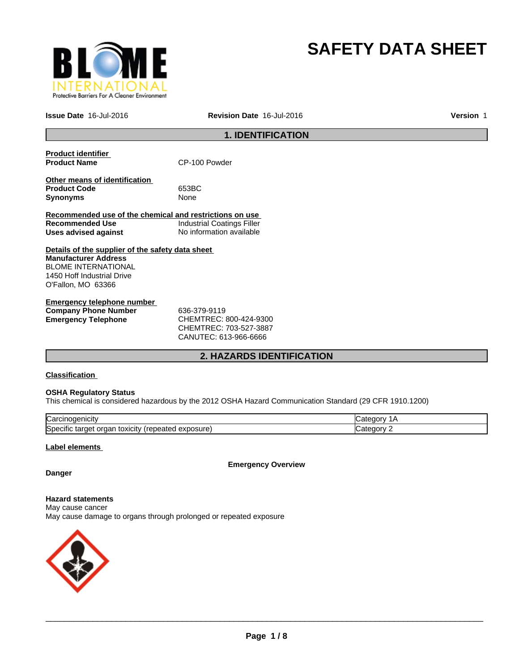

# **SAFETY DATA SHEET**

**Issue Date** 16-Jul-2016 **Revision Date** 16-Jul-2016

**Version** 1

### **1. IDENTIFICATION**

| <b>Product identifier</b><br><b>Product Name</b>         | CP-100 Powder              |
|----------------------------------------------------------|----------------------------|
|                                                          |                            |
| Other means of identification<br><b>Product Code</b>     | 653BC                      |
| <b>Synonyms</b>                                          | None                       |
| Recommended use of the chemical and restrictions on use  |                            |
| Recommended Use                                          | Industrial Coatings Filler |
| Uses advised against                                     | No information available   |
| Details of the supplier of the safety data sheet         |                            |
| <b>Manufacturer Address</b>                              |                            |
| <b>BLOME INTERNATIONAL</b><br>1450 Hoff Industrial Drive |                            |
|                                                          |                            |
| O'Fallon, MO 63366                                       |                            |
| Emergency telephone number                               |                            |

| Elliel delicy telepholie huiliber |                                     |  |
|-----------------------------------|-------------------------------------|--|
| <b>Company Phone Number</b>       | 636-379-9119                        |  |
| Emergency Telephone               | CHEMTREC: 800-424-9300              |  |
|                                   | $C$ HEMTRE $C$ $\cdot$ 703-527-3887 |  |

CHEMTREC: 703-527-3887 CANUTEC: 613-966-6666

### **2. HAZARDS IDENTIFICATION**

### **Classification**

### **OSHA Regulatory Status**

This chemical is considered hazardous by the 2012 OSHA Hazard Communication Standard (29 CFR 1910.1200)

| ∽<br>lual                                                                            |  |
|--------------------------------------------------------------------------------------|--|
| <b>S</b> pe<br>osur<br>эню<br>eatec<br>targe<br><b>TOXICILY</b><br>Jа<br>58 U<br>. . |  |

### **Label elements**

**Emergency Overview**

### **Danger**

**Hazard statements** May cause cancer May cause damage to organs through prolonged or repeated exposure

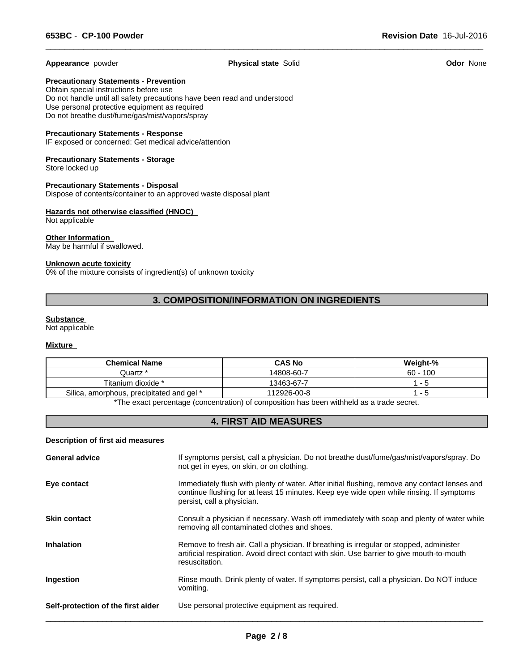**Appearance** powder **Physical state** Solid **Odor** None

 $\overline{\phantom{a}}$  ,  $\overline{\phantom{a}}$  ,  $\overline{\phantom{a}}$  ,  $\overline{\phantom{a}}$  ,  $\overline{\phantom{a}}$  ,  $\overline{\phantom{a}}$  ,  $\overline{\phantom{a}}$  ,  $\overline{\phantom{a}}$  ,  $\overline{\phantom{a}}$  ,  $\overline{\phantom{a}}$  ,  $\overline{\phantom{a}}$  ,  $\overline{\phantom{a}}$  ,  $\overline{\phantom{a}}$  ,  $\overline{\phantom{a}}$  ,  $\overline{\phantom{a}}$  ,  $\overline{\phantom{a}}$ 

**Precautionary Statements - Prevention**

Obtain special instructions before use Do not handle until all safety precautions have been read and understood Use personal protective equipment as required Do not breathe dust/fume/gas/mist/vapors/spray

### **Precautionary Statements - Response**

IF exposed or concerned: Get medical advice/attention

### **Precautionary Statements - Storage** Store locked up

**Precautionary Statements - Disposal**

Dispose of contents/container to an approved waste disposal plant

### **Hazards not otherwise classified (HNOC)**  Not applicable

**Other Information**  May be harmful if swallowed.

### **Unknown acute toxicity**

0% of the mixture consists of ingredient(s) of unknown toxicity

### **3. COMPOSITION/INFORMATION ON INGREDIENTS**

### **Substance**

Not applicable

### **Mixture**

| <b>Chemical Name</b>                      | <b>CAS No</b> | Weight-%   |
|-------------------------------------------|---------------|------------|
| Juartz *                                  | 14808-60-7    | $60 - 100$ |
| Titanium dioxide *                        | 13463-67-7    |            |
| Silica, amorphous, precipitated and gel * | 112926-00-8   |            |

\*The exact percentage (concentration) of composition has been withheld as a trade secret.

### **4. FIRST AID MEASURES**

### **Description of first aid measures**

| <b>General advice</b>              | If symptoms persist, call a physician. Do not breathe dust/fume/gas/mist/vapors/spray. Do<br>not get in eyes, on skin, or on clothing.                                                                                  |
|------------------------------------|-------------------------------------------------------------------------------------------------------------------------------------------------------------------------------------------------------------------------|
| Eye contact                        | Immediately flush with plenty of water. After initial flushing, remove any contact lenses and<br>continue flushing for at least 15 minutes. Keep eye wide open while rinsing. If symptoms<br>persist, call a physician. |
| <b>Skin contact</b>                | Consult a physician if necessary. Wash off immediately with soap and plenty of water while<br>removing all contaminated clothes and shoes.                                                                              |
| <b>Inhalation</b>                  | Remove to fresh air. Call a physician. If breathing is irregular or stopped, administer<br>artificial respiration. Avoid direct contact with skin. Use barrier to give mouth-to-mouth<br>resuscitation.                 |
| Ingestion                          | Rinse mouth. Drink plenty of water. If symptoms persist, call a physician. Do NOT induce<br>vomiting.                                                                                                                   |
| Self-protection of the first aider | Use personal protective equipment as required.                                                                                                                                                                          |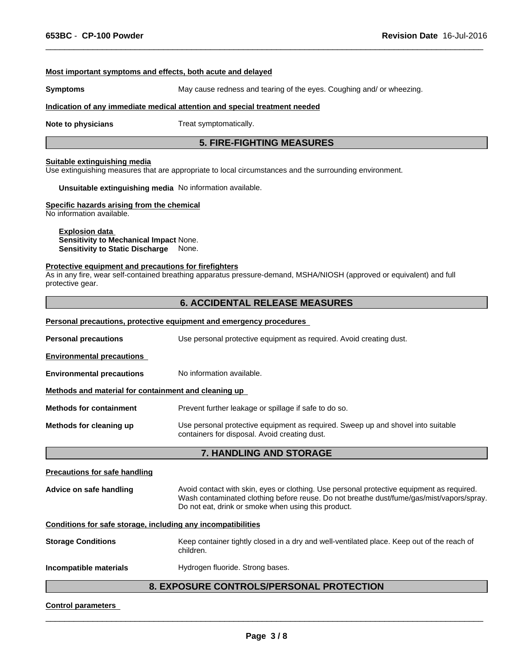### **Most important symptoms and effects, both acute and delayed**

**Symptoms** May cause redness and tearing of the eyes. Coughing and/ or wheezing.

 $\overline{\phantom{a}}$  ,  $\overline{\phantom{a}}$  ,  $\overline{\phantom{a}}$  ,  $\overline{\phantom{a}}$  ,  $\overline{\phantom{a}}$  ,  $\overline{\phantom{a}}$  ,  $\overline{\phantom{a}}$  ,  $\overline{\phantom{a}}$  ,  $\overline{\phantom{a}}$  ,  $\overline{\phantom{a}}$  ,  $\overline{\phantom{a}}$  ,  $\overline{\phantom{a}}$  ,  $\overline{\phantom{a}}$  ,  $\overline{\phantom{a}}$  ,  $\overline{\phantom{a}}$  ,  $\overline{\phantom{a}}$ 

#### **Indication of any immediate medical attention and special treatment needed**

**Note to physicians** Treat symptomatically.

### **5. FIRE-FIGHTING MEASURES**

### **Suitable extinguishing media**

Use extinguishing measures that are appropriate to local circumstances and the surrounding environment.

**Unsuitable extinguishing media** No information available.

### **Specific hazards arising from the chemical**

No information available.

### **Explosion data Sensitivity to Mechanical Impact** None. **Sensitivity to Static Discharge** None.

#### **Protective equipment and precautions for firefighters**

As in any fire, wear self-contained breathing apparatus pressure-demand, MSHA/NIOSH (approved or equivalent) and full protective gear.

### **6. ACCIDENTAL RELEASE MEASURES**

#### **Personal precautions, protective equipment and emergency procedures**

| <b>Personal precautions</b>                          | Use personal protective equipment as required. Avoid creating dust.                                                               |  |  |
|------------------------------------------------------|-----------------------------------------------------------------------------------------------------------------------------------|--|--|
| <b>Environmental precautions</b>                     |                                                                                                                                   |  |  |
| <b>Environmental precautions</b>                     | No information available.                                                                                                         |  |  |
| Methods and material for containment and cleaning up |                                                                                                                                   |  |  |
| <b>Methods for containment</b>                       | Prevent further leakage or spillage if safe to do so.                                                                             |  |  |
| Methods for cleaning up                              | Use personal protective equipment as required. Sweep up and shovel into suitable<br>containers for disposal. Avoid creating dust. |  |  |
|                                                      | <b>7. HANDLING AND STORAGE</b>                                                                                                    |  |  |

| <b>Precautions for safe handling</b>                         |                                                                                                                                                                                                                                              |
|--------------------------------------------------------------|----------------------------------------------------------------------------------------------------------------------------------------------------------------------------------------------------------------------------------------------|
| Advice on safe handling                                      | Avoid contact with skin, eyes or clothing. Use personal protective equipment as required.<br>Wash contaminated clothing before reuse. Do not breathe dust/fume/gas/mist/vapors/spray.<br>Do not eat, drink or smoke when using this product. |
| Conditions for safe storage, including any incompatibilities |                                                                                                                                                                                                                                              |
| <b>Storage Conditions</b>                                    | Keep container tightly closed in a dry and well-ventilated place. Keep out of the reach of<br>children.                                                                                                                                      |
| Incompatible materials                                       | Hydrogen fluoride. Strong bases.                                                                                                                                                                                                             |

### **8. EXPOSURE CONTROLS/PERSONAL PROTECTION**

### **Control parameters**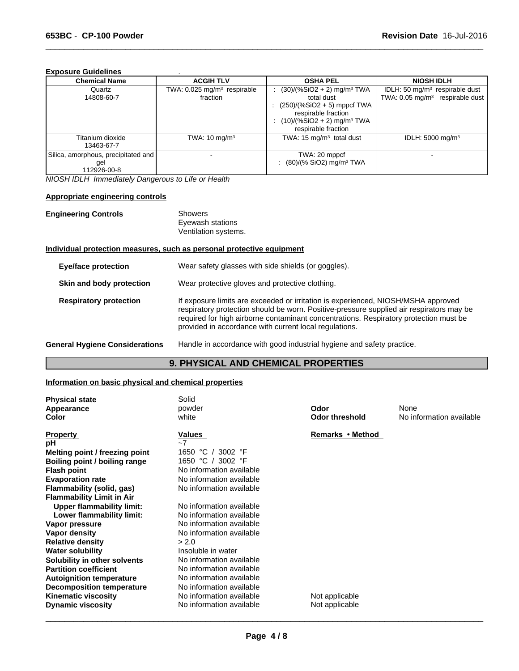### **Exposure Guidelines** .

| <b>Chemical Name</b>                                      | <b>ACGIH TLV</b>                                    | <b>OSHA PEL</b>                                                                                                                                                                   | <b>NIOSH IDLH</b>                                                               |
|-----------------------------------------------------------|-----------------------------------------------------|-----------------------------------------------------------------------------------------------------------------------------------------------------------------------------------|---------------------------------------------------------------------------------|
| Quartz<br>14808-60-7                                      | TWA: 0.025 mg/m <sup>3</sup> respirable<br>fraction | $(30)/(%SiO2 + 2)$ mg/m <sup>3</sup> TWA<br>total dust<br>$(250)/(%SiO2 + 5)$ mppcf TWA<br>respirable fraction<br>$(10)/(%SiO2 + 2)$ mg/m <sup>3</sup> TWA<br>respirable fraction | IDLH: 50 $mq/m3$ respirable dust<br>TWA: 0.05 mg/m <sup>3</sup> respirable dust |
| Titanium dioxide<br>13463-67-7                            | TWA: $10 \text{ mg/m}^3$                            | TWA: $15 \text{ mg/m}^3$ total dust                                                                                                                                               | IDLH: $5000 \text{ mg/m}^3$                                                     |
| Silica, amorphous, precipitated and<br>gel<br>112926-00-8 |                                                     | TWA: 20 mppcf<br>: $(80)/(%$ SiO2) mg/m <sup>3</sup> TWA                                                                                                                          |                                                                                 |

 $\overline{\phantom{a}}$  ,  $\overline{\phantom{a}}$  ,  $\overline{\phantom{a}}$  ,  $\overline{\phantom{a}}$  ,  $\overline{\phantom{a}}$  ,  $\overline{\phantom{a}}$  ,  $\overline{\phantom{a}}$  ,  $\overline{\phantom{a}}$  ,  $\overline{\phantom{a}}$  ,  $\overline{\phantom{a}}$  ,  $\overline{\phantom{a}}$  ,  $\overline{\phantom{a}}$  ,  $\overline{\phantom{a}}$  ,  $\overline{\phantom{a}}$  ,  $\overline{\phantom{a}}$  ,  $\overline{\phantom{a}}$ 

*NIOSH IDLH Immediately Dangerous to Life or Health*

### **Appropriate engineering controls**

| <b>Engineering Controls</b>   | <b>Showers</b><br>Eyewash stations<br>Ventilation systems.                                                                                                                                                                                                                                                                       |
|-------------------------------|----------------------------------------------------------------------------------------------------------------------------------------------------------------------------------------------------------------------------------------------------------------------------------------------------------------------------------|
|                               | Individual protection measures, such as personal protective equipment                                                                                                                                                                                                                                                            |
| <b>Eye/face protection</b>    | Wear safety glasses with side shields (or goggles).                                                                                                                                                                                                                                                                              |
| Skin and body protection      | Wear protective gloves and protective clothing.                                                                                                                                                                                                                                                                                  |
| <b>Respiratory protection</b> | If exposure limits are exceeded or irritation is experienced, NIOSH/MSHA approved<br>respiratory protection should be worn. Positive-pressure supplied air respirators may be<br>required for high airborne contaminant concentrations. Respiratory protection must be<br>provided in accordance with current local regulations. |

```
General Hygiene Considerations Handle in accordance with good industrial hygiene and safety practice.
```
### **9. PHYSICAL AND CHEMICAL PROPERTIES**

### **Information on basic physical and chemical properties**

| <b>Physical state</b>            | Solid                    |                       |                          |
|----------------------------------|--------------------------|-----------------------|--------------------------|
| Appearance                       | powder                   | Odor                  | None                     |
| <b>Color</b>                     | white                    | <b>Odor threshold</b> | No information available |
| <b>Property</b>                  | Values                   | Remarks • Method      |                          |
| рH                               | $-7$                     |                       |                          |
| Melting point / freezing point   | 1650 °C<br>3002 °F       |                       |                          |
| Boiling point / boiling range    | 1650 °C<br>3002 °F       |                       |                          |
| <b>Flash point</b>               | No information available |                       |                          |
| <b>Evaporation rate</b>          | No information available |                       |                          |
| Flammability (solid, gas)        | No information available |                       |                          |
| <b>Flammability Limit in Air</b> |                          |                       |                          |
| <b>Upper flammability limit:</b> | No information available |                       |                          |
| Lower flammability limit:        | No information available |                       |                          |
| Vapor pressure                   | No information available |                       |                          |
| Vapor density                    | No information available |                       |                          |
| <b>Relative density</b>          | > 2.0                    |                       |                          |
| <b>Water solubility</b>          | Insoluble in water       |                       |                          |
| Solubility in other solvents     | No information available |                       |                          |
| <b>Partition coefficient</b>     | No information available |                       |                          |
| <b>Autoignition temperature</b>  | No information available |                       |                          |
| <b>Decomposition temperature</b> | No information available |                       |                          |
| <b>Kinematic viscosity</b>       | No information available | Not applicable        |                          |
| <b>Dynamic viscosity</b>         | No information available | Not applicable        |                          |
|                                  |                          |                       |                          |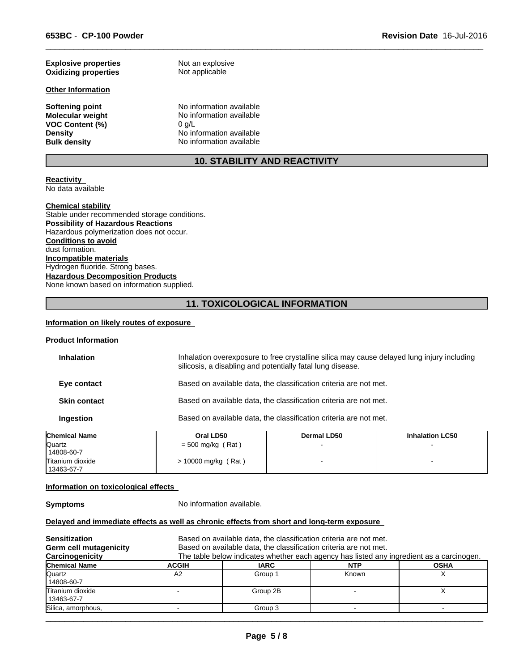| <b>Explosive properties</b> | Not an explosive         |
|-----------------------------|--------------------------|
| <b>Oxidizing properties</b> | Not applicable           |
| <b>Other Information</b>    |                          |
| <b>Softening point</b>      | No information available |
| <b>Molecular weight</b>     | No information available |
| <b>VOC Content (%)</b>      | 0 q/L                    |
| <b>Density</b>              | No information available |
| <b>Bulk density</b>         | No information available |

## **10. STABILITY AND REACTIVITY**

 $\overline{\phantom{a}}$  ,  $\overline{\phantom{a}}$  ,  $\overline{\phantom{a}}$  ,  $\overline{\phantom{a}}$  ,  $\overline{\phantom{a}}$  ,  $\overline{\phantom{a}}$  ,  $\overline{\phantom{a}}$  ,  $\overline{\phantom{a}}$  ,  $\overline{\phantom{a}}$  ,  $\overline{\phantom{a}}$  ,  $\overline{\phantom{a}}$  ,  $\overline{\phantom{a}}$  ,  $\overline{\phantom{a}}$  ,  $\overline{\phantom{a}}$  ,  $\overline{\phantom{a}}$  ,  $\overline{\phantom{a}}$ 

#### **Reactivity**  No data available

### **Chemical stability**

Stable under recommended storage conditions. **Possibility of Hazardous Reactions** Hazardous polymerization does not occur. **Conditions to avoid** dust formation. **Incompatible materials** Hydrogen fluoride. Strong bases. **Hazardous Decomposition Products** None known based on information supplied.

### **11. TOXICOLOGICAL INFORMATION**

### **Information on likely routes of exposure**

### **Product Information**

| <b>Inhalation</b>   | Inhalation overexposure to free crystalline silica may cause delayed lung injury including<br>silicosis, a disabling and potentially fatal lung disease. |
|---------------------|----------------------------------------------------------------------------------------------------------------------------------------------------------|
| Eye contact         | Based on available data, the classification criteria are not met.                                                                                        |
| <b>Skin contact</b> | Based on available data, the classification criteria are not met.                                                                                        |
| Ingestion           | Based on available data, the classification criteria are not met.                                                                                        |
|                     |                                                                                                                                                          |

| <b>Chemical Name</b> | Oral LD50           | <b>Dermal LD50</b> | <b>Inhalation LC50</b> |  |
|----------------------|---------------------|--------------------|------------------------|--|
| Quartz               | $=$ 500 mg/kg (Rat) |                    |                        |  |
| 14808-60-7           |                     |                    |                        |  |
| Titanium dioxide     | 10000 mg/kg (Rat)   |                    | -                      |  |
| 13463-67-7           |                     |                    |                        |  |

#### **Information on toxicological effects**

**Symptoms** No information available.

### **Delayed and immediate effects as well as chronic effects from short and long-term exposure**

| <b>Sensitization</b><br><b>Germ cell mutagenicity</b><br>Carcinogenicity |              | Based on available data, the classification criteria are not met.<br>Based on available data, the classification criteria are not met.<br>The table below indicates whether each agency has listed any ingredient as a carcinogen. |            |             |
|--------------------------------------------------------------------------|--------------|------------------------------------------------------------------------------------------------------------------------------------------------------------------------------------------------------------------------------------|------------|-------------|
| <b>Chemical Name</b>                                                     | <b>ACGIH</b> | <b>IARC</b>                                                                                                                                                                                                                        | <b>NTP</b> | <b>OSHA</b> |
| Quartz<br>14808-60-7                                                     | A2           | Group 1                                                                                                                                                                                                                            | Known      |             |
| Titanium dioxide<br>13463-67-7                                           |              | Group 2B                                                                                                                                                                                                                           |            |             |
| Silica, amorphous,                                                       |              | Group 3                                                                                                                                                                                                                            |            |             |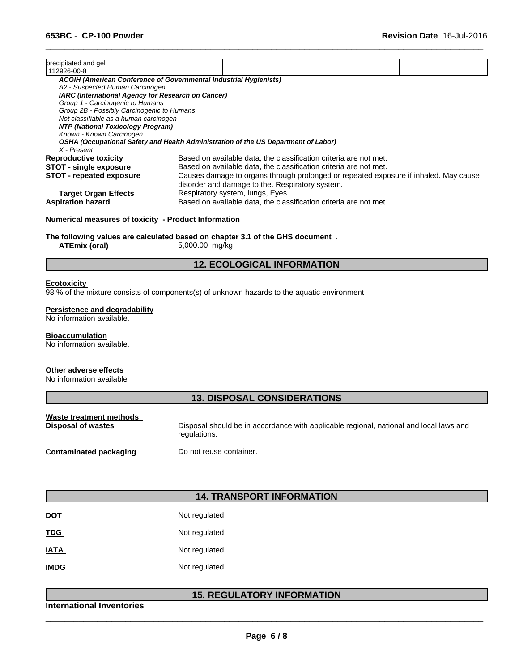| precipitated and gel<br>112926-00-8                                                |                                                                   |                                                                                      |  |
|------------------------------------------------------------------------------------|-------------------------------------------------------------------|--------------------------------------------------------------------------------------|--|
| ACGIH (American Conference of Governmental Industrial Hygienists)                  |                                                                   |                                                                                      |  |
| A2 - Suspected Human Carcinogen                                                    |                                                                   |                                                                                      |  |
| IARC (International Agency for Research on Cancer)                                 |                                                                   |                                                                                      |  |
| Group 1 - Carcinogenic to Humans                                                   |                                                                   |                                                                                      |  |
| Group 2B - Possibly Carcinogenic to Humans                                         |                                                                   |                                                                                      |  |
| Not classifiable as a human carcinogen                                             |                                                                   |                                                                                      |  |
| NTP (National Toxicology Program)                                                  |                                                                   |                                                                                      |  |
| Known - Known Carcinogen                                                           |                                                                   |                                                                                      |  |
| OSHA (Occupational Safety and Health Administration of the US Department of Labor) |                                                                   |                                                                                      |  |
| X - Present                                                                        |                                                                   |                                                                                      |  |
| <b>Reproductive toxicity</b>                                                       | Based on available data, the classification criteria are not met. |                                                                                      |  |
| <b>STOT - single exposure</b>                                                      | Based on available data, the classification criteria are not met. |                                                                                      |  |
| <b>STOT - repeated exposure</b>                                                    | disorder and damage to the. Respiratory system.                   | Causes damage to organs through prolonged or repeated exposure if inhaled. May cause |  |
| <b>Target Organ Effects</b>                                                        | Respiratory system, lungs, Eyes.                                  |                                                                                      |  |
| <b>Aspiration hazard</b>                                                           | Based on available data, the classification criteria are not met. |                                                                                      |  |

 $\overline{\phantom{a}}$  ,  $\overline{\phantom{a}}$  ,  $\overline{\phantom{a}}$  ,  $\overline{\phantom{a}}$  ,  $\overline{\phantom{a}}$  ,  $\overline{\phantom{a}}$  ,  $\overline{\phantom{a}}$  ,  $\overline{\phantom{a}}$  ,  $\overline{\phantom{a}}$  ,  $\overline{\phantom{a}}$  ,  $\overline{\phantom{a}}$  ,  $\overline{\phantom{a}}$  ,  $\overline{\phantom{a}}$  ,  $\overline{\phantom{a}}$  ,  $\overline{\phantom{a}}$  ,  $\overline{\phantom{a}}$ 

### **Numerical measures of toxicity - Product Information**

**The following values are calculated based on chapter 3.1 of the GHS document** .

**ATEmix (oral)** 5,000.00 mg/kg

### **12. ECOLOGICAL INFORMATION**

#### **Ecotoxicity**

98 % of the mixture consists of components(s) of unknown hazards to the aquatic environment

### **Persistence and degradability**

No information available.

### **Bioaccumulation**

No information available.

### **Other adverse effects**

No information available

### **13. DISPOSAL CONSIDERATIONS**

| Waste treatment methods | Disposal should be in accordance with applicable regional, national and local laws and |
|-------------------------|----------------------------------------------------------------------------------------|
| Disposal of wastes      | regulations.                                                                           |
| Contaminated packaging  | Do not reuse container.                                                                |

### **14. TRANSPORT INFORMATION**

| <u>DOT</u>  | Not regulated |
|-------------|---------------|
| <b>TDG</b>  | Not regulated |
| <b>IATA</b> | Not regulated |
| <b>IMDG</b> | Not regulated |

### **15. REGULATORY INFORMATION**

 $\overline{\phantom{a}}$  ,  $\overline{\phantom{a}}$  ,  $\overline{\phantom{a}}$  ,  $\overline{\phantom{a}}$  ,  $\overline{\phantom{a}}$  ,  $\overline{\phantom{a}}$  ,  $\overline{\phantom{a}}$  ,  $\overline{\phantom{a}}$  ,  $\overline{\phantom{a}}$  ,  $\overline{\phantom{a}}$  ,  $\overline{\phantom{a}}$  ,  $\overline{\phantom{a}}$  ,  $\overline{\phantom{a}}$  ,  $\overline{\phantom{a}}$  ,  $\overline{\phantom{a}}$  ,  $\overline{\phantom{a}}$ 

### **International Inventories**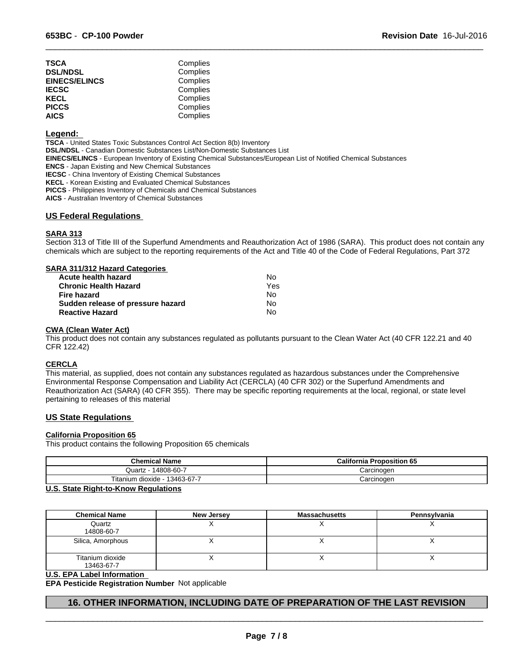| TSCA                 | Complies |  |
|----------------------|----------|--|
|                      |          |  |
| <b>DSL/NDSL</b>      | Complies |  |
| <b>EINECS/ELINCS</b> | Complies |  |
| <b>IECSC</b>         | Complies |  |
| KECL                 | Complies |  |
| <b>PICCS</b>         | Complies |  |
| AICS.                | Complies |  |
|                      |          |  |

#### **Legend:**

**TSCA** - United States Toxic Substances Control Act Section 8(b) Inventory **DSL/NDSL** - Canadian Domestic Substances List/Non-Domestic Substances List **EINECS/ELINCS** - European Inventory of Existing Chemical Substances/European List of Notified Chemical Substances **ENCS** - Japan Existing and New Chemical Substances **IECSC** - China Inventory of Existing Chemical Substances **KECL** - Korean Existing and Evaluated Chemical Substances **PICCS** - Philippines Inventory of Chemicals and Chemical Substances

**AICS** - Australian Inventory of Chemical Substances

### **US Federal Regulations**

### **SARA 313**

Section 313 of Title III of the Superfund Amendments and Reauthorization Act of 1986 (SARA). This product does not contain any chemicals which are subject to the reporting requirements of the Act and Title 40 of the Code of Federal Regulations, Part 372

 $\overline{\phantom{a}}$  ,  $\overline{\phantom{a}}$  ,  $\overline{\phantom{a}}$  ,  $\overline{\phantom{a}}$  ,  $\overline{\phantom{a}}$  ,  $\overline{\phantom{a}}$  ,  $\overline{\phantom{a}}$  ,  $\overline{\phantom{a}}$  ,  $\overline{\phantom{a}}$  ,  $\overline{\phantom{a}}$  ,  $\overline{\phantom{a}}$  ,  $\overline{\phantom{a}}$  ,  $\overline{\phantom{a}}$  ,  $\overline{\phantom{a}}$  ,  $\overline{\phantom{a}}$  ,  $\overline{\phantom{a}}$ 

| SARA 311/312 Hazard Categories    |     |  |
|-----------------------------------|-----|--|
| Acute health hazard               | N٥  |  |
| <b>Chronic Health Hazard</b>      | Yes |  |
| <b>Fire hazard</b>                | N٥  |  |
| Sudden release of pressure hazard | No  |  |
| <b>Reactive Hazard</b>            | No  |  |

#### **CWA (Clean Water Act)**

This product does not contain any substances regulated as pollutants pursuant to the Clean Water Act (40 CFR 122.21 and 40 CFR 122.42)

### **CERCLA**

This material, as supplied, does not contain any substances regulated as hazardous substances under the Comprehensive Environmental Response Compensation and Liability Act (CERCLA) (40 CFR 302) or the Superfund Amendments and Reauthorization Act (SARA) (40 CFR 355). There may be specific reporting requirements at the local, regional, or state level pertaining to releases of this material

### **US State Regulations**

#### **California Proposition 65**

This product contains the following Proposition 65 chemicals

| <b>Chemical Name</b>                              | <b>California Proposition 65</b> |
|---------------------------------------------------|----------------------------------|
| 14808-60-7<br>Quartz                              | Carcinogen                       |
| Titanium<br>$\cdots$<br>13463-67-7<br>ı dioxide - | Carcinogen                       |

### **U.S. State Right-to-Know Regulations**

| <b>Chemical Name</b>           | <b>New Jersey</b> | <b>Massachusetts</b> | Pennsylvania |
|--------------------------------|-------------------|----------------------|--------------|
| Quartz<br>14808-60-7           |                   |                      |              |
| Silica, Amorphous              |                   |                      |              |
| Titanium dioxide<br>13463-67-7 |                   |                      |              |

#### **U.S. EPA Label Information**

**EPA Pesticide Registration Number** Not applicable

### **16. OTHER INFORMATION, INCLUDING DATE OF PREPARATION OF THE LAST REVISION**